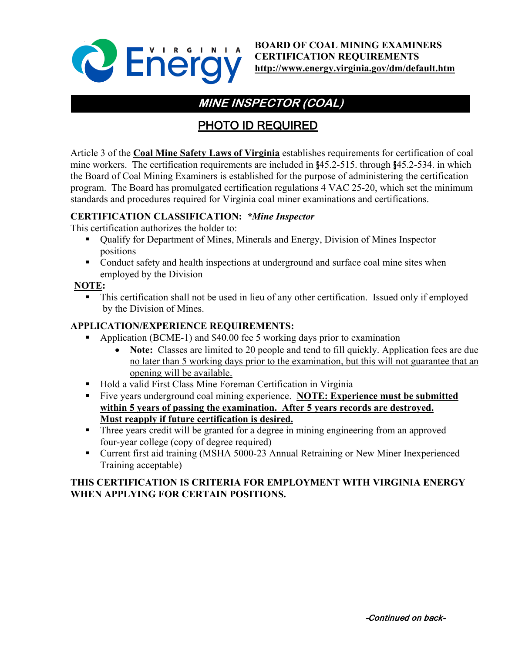

**BOARD OF COAL MINING EXAMINERS CERTIFICATION REQUIREMENTS <http://www.energy.virginia.gov/dm/default.htm>**

# **MINE INSPECTOR (COAL)**

## PHOTO ID REQUIRED

Article 3 of the **Coal Mine Safety Laws of Virginia** establishes requirements for certification of coal mine workers. The certification requirements are included in §45.2-515. through §45.2-534. in which the Board of Coal Mining Examiners is established for the purpose of administering the certification program. The Board has promulgated certification regulations 4 VAC 25-20, which set the minimum standards and procedures required for Virginia coal miner examinations and certifications.

## **CERTIFICATION CLASSIFICATION:** *\*Mine Inspector*

This certification authorizes the holder to:

- Qualify for Department of Mines, Minerals and Energy, Division of Mines Inspector positions
- Conduct safety and health inspections at underground and surface coal mine sites when employed by the Division

#### **NOTE:**

 This certification shall not be used in lieu of any other certification. Issued only if employed by the Division of Mines.

## **APPLICATION/EXPERIENCE REQUIREMENTS:**

- Application (BCME-1) and \$40.00 fee 5 working days prior to examination
	- **Note:** Classes are limited to 20 people and tend to fill quickly. Application fees are due no later than 5 working days prior to the examination, but this will not guarantee that an opening will be available.
- Hold a valid First Class Mine Foreman Certification in Virginia
- Five years underground coal mining experience. **NOTE: Experience must be submitted within 5 years of passing the examination. After 5 years records are destroyed. Must reapply if future certification is desired.**
- Three years credit will be granted for a degree in mining engineering from an approved four-year college (copy of degree required)
- Current first aid training (MSHA 5000-23 Annual Retraining or New Miner Inexperienced Training acceptable)

## **THIS CERTIFICATION IS CRITERIA FOR EMPLOYMENT WITH VIRGINIA ENERGY WHEN APPLYING FOR CERTAIN POSITIONS.**